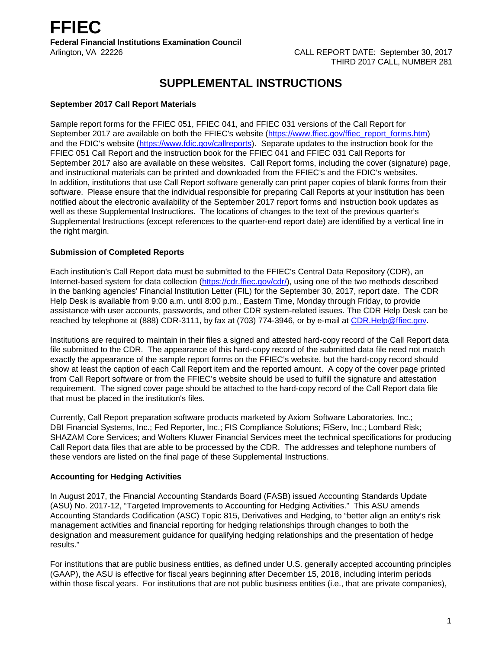# **SUPPLEMENTAL INSTRUCTIONS**

### **September 2017 Call Report Materials**

Sample report forms for the FFIEC 051, FFIEC 041, and FFIEC 031 versions of the Call Report for September 2017 are available on both the FFIEC's website [\(https://www.ffiec.gov/ffiec\\_report\\_forms.htm\)](https://www.ffiec.gov/ffiec_report_forms.htm) and the FDIC's website [\(https://www.fdic.gov/callreports\)](https://www.fdic.gov/callreports). Separate updates to the instruction book for the FFIEC 051 Call Report and the instruction book for the FFIEC 041 and FFIEC 031 Call Reports for September 2017 also are available on these websites. Call Report forms, including the cover (signature) page, and instructional materials can be printed and downloaded from the FFIEC's and the FDIC's websites. In addition, institutions that use Call Report software generally can print paper copies of blank forms from their software. Please ensure that the individual responsible for preparing Call Reports at your institution has been notified about the electronic availability of the September 2017 report forms and instruction book updates as well as these Supplemental Instructions. The locations of changes to the text of the previous quarter's Supplemental Instructions (except references to the quarter-end report date) are identified by a vertical line in the right margin.

### **Submission of Completed Reports**

Each institution's Call Report data must be submitted to the FFIEC's Central Data Repository (CDR), an Internet-based system for data collection [\(https://cdr.ffiec.gov/cdr/\)](https://cdr.ffiec.gov/cdr/), using one of the two methods described in the banking agencies' Financial Institution Letter (FIL) for the September 30, 2017, report date. The CDR Help Desk is available from 9:00 a.m. until 8:00 p.m., Eastern Time, Monday through Friday, to provide assistance with user accounts, passwords, and other CDR system-related issues. The CDR Help Desk can be reached by telephone at (888) CDR-3111, by fax at (703) 774-3946, or by e-mail at [CDR.Help@ffiec.gov.](mailto:CDR.Help@ffiec.gov)

Institutions are required to maintain in their files a signed and attested hard-copy record of the Call Report data file submitted to the CDR. The appearance of this hard-copy record of the submitted data file need not match exactly the appearance of the sample report forms on the FFIEC's website, but the hard-copy record should show at least the caption of each Call Report item and the reported amount. A copy of the cover page printed from Call Report software or from the FFIEC's website should be used to fulfill the signature and attestation requirement. The signed cover page should be attached to the hard-copy record of the Call Report data file that must be placed in the institution's files.

Currently, Call Report preparation software products marketed by Axiom Software Laboratories, Inc.; DBI Financial Systems, Inc.; Fed Reporter, Inc.; FIS Compliance Solutions; FiServ, Inc.; Lombard Risk; SHAZAM Core Services; and Wolters Kluwer Financial Services meet the technical specifications for producing Call Report data files that are able to be processed by the CDR. The addresses and telephone numbers of these vendors are listed on the final page of these Supplemental Instructions.

#### **Accounting for Hedging Activities**

In August 2017, the Financial Accounting Standards Board (FASB) issued Accounting Standards Update (ASU) No. 2017-12, "Targeted Improvements to Accounting for Hedging Activities." This ASU amends Accounting Standards Codification (ASC) Topic 815, Derivatives and Hedging, to "better align an entity's risk management activities and financial reporting for hedging relationships through changes to both the designation and measurement guidance for qualifying hedging relationships and the presentation of hedge results."

For institutions that are public business entities, as defined under U.S. generally accepted accounting principles (GAAP), the ASU is effective for fiscal years beginning after December 15, 2018, including interim periods within those fiscal years. For institutions that are not public business entities (i.e., that are private companies),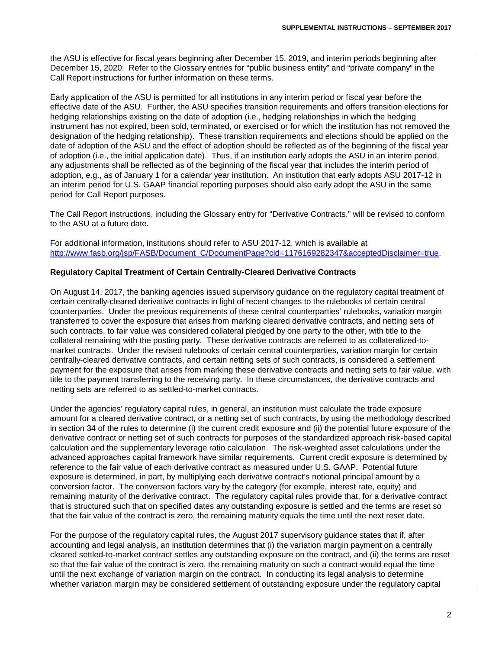the ASU is effective for fiscal years beginning after December 15, 2019, and interim periods beginning after December 15, 2020. Refer to the Glossary entries for "public business entity" and "private company" in the Call Report instructions for further information on these terms.

Early application of the ASU is permitted for all institutions in any interim period or fiscal year before the effective date of the ASU. Further, the ASU specifies transition requirements and offers transition elections for hedging relationships existing on the date of adoption (i.e., hedging relationships in which the hedging instrument has not expired, been sold, terminated, or exercised or for which the institution has not removed the designation of the hedging relationship). These transition requirements and elections should be applied on the date of adoption of the ASU and the effect of adoption should be reflected as of the beginning of the fiscal year of adoption (i.e., the initial application date). Thus, if an institution early adopts the ASU in an interim period, any adjustments shall be reflected as of the beginning of the fiscal year that includes the interim period of adoption, e.g., as of January 1 for a calendar year institution. An institution that early adopts ASU 2017-12 in an interim period for U.S. GAAP financial reporting purposes should also early adopt the ASU in the same period for Call Report purposes.

The Call Report instructions, including the Glossary entry for "Derivative Contracts," will be revised to conform to the ASU at a future date.

For additional information, institutions should refer to ASU 2017-12, which is available at [http://www.fasb.org/jsp/FASB/Document\\_C/DocumentPage?cid=1176169282347&acceptedDisclaimer=true.](http://www.fasb.org/jsp/FASB/Document_C/DocumentPage?cid=1176169282347&acceptedDisclaimer=true)

#### **Regulatory Capital Treatment of Certain Centrally-Cleared Derivative Contracts**

On August 14, 2017, the banking agencies issued supervisory guidance on the regulatory capital treatment of certain centrally-cleared derivative contracts in light of recent changes to the rulebooks of certain central counterparties. Under the previous requirements of these central counterparties' rulebooks, variation margin transferred to cover the exposure that arises from marking cleared derivative contracts, and netting sets of such contracts, to fair value was considered collateral pledged by one party to the other, with title to the collateral remaining with the posting party. These derivative contracts are referred to as collateralized-tomarket contracts. Under the revised rulebooks of certain central counterparties, variation margin for certain centrally-cleared derivative contracts, and certain netting sets of such contracts, is considered a settlement payment for the exposure that arises from marking these derivative contracts and netting sets to fair value, with title to the payment transferring to the receiving party. In these circumstances, the derivative contracts and netting sets are referred to as settled-to-market contracts.

Under the agencies' regulatory capital rules, in general, an institution must calculate the trade exposure amount for a cleared derivative contract, or a netting set of such contracts, by using the methodology described in section 34 of the rules to determine (i) the current credit exposure and (ii) the potential future exposure of the derivative contract or netting set of such contracts for purposes of the standardized approach risk-based capital calculation and the supplementary leverage ratio calculation. The risk-weighted asset calculations under the advanced approaches capital framework have similar requirements. Current credit exposure is determined by reference to the fair value of each derivative contract as measured under U.S. GAAP. Potential future exposure is determined, in part, by multiplying each derivative contract's notional principal amount by a conversion factor. The conversion factors vary by the category (for example, interest rate, equity) and remaining maturity of the derivative contract. The regulatory capital rules provide that, for a derivative contract that is structured such that on specified dates any outstanding exposure is settled and the terms are reset so that the fair value of the contract is zero, the remaining maturity equals the time until the next reset date.

For the purpose of the regulatory capital rules, the August 2017 supervisory guidance states that if, after accounting and legal analysis, an institution determines that (i) the variation margin payment on a centrally cleared settled-to-market contract settles any outstanding exposure on the contract, and (ii) the terms are reset so that the fair value of the contract is zero, the remaining maturity on such a contract would equal the time until the next exchange of variation margin on the contract. In conducting its legal analysis to determine whether variation margin may be considered settlement of outstanding exposure under the regulatory capital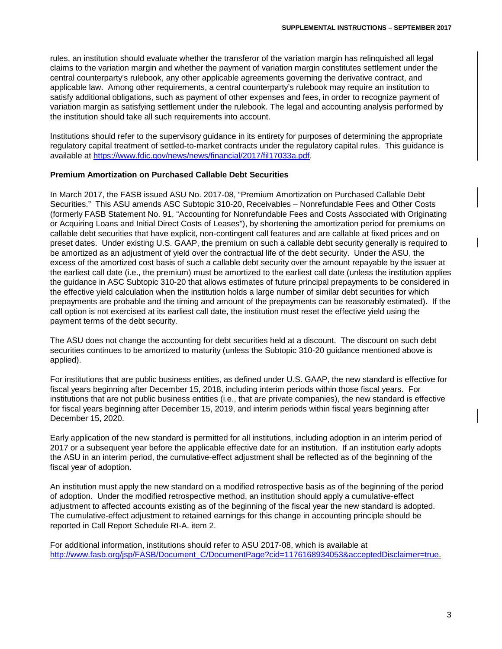rules, an institution should evaluate whether the transferor of the variation margin has relinquished all legal claims to the variation margin and whether the payment of variation margin constitutes settlement under the central counterparty's rulebook, any other applicable agreements governing the derivative contract, and applicable law. Among other requirements, a central counterparty's rulebook may require an institution to satisfy additional obligations, such as payment of other expenses and fees, in order to recognize payment of variation margin as satisfying settlement under the rulebook. The legal and accounting analysis performed by the institution should take all such requirements into account.

Institutions should refer to the supervisory guidance in its entirety for purposes of determining the appropriate regulatory capital treatment of settled-to-market contracts under the regulatory capital rules. This guidance is available at [https://www.fdic.gov/news/news/financial/2017/fil17033a.pdf.](https://www.fdic.gov/news/news/financial/2017/fil17033a.pdf)

#### **Premium Amortization on Purchased Callable Debt Securities**

In March 2017, the FASB issued ASU No. 2017-08, "Premium Amortization on Purchased Callable Debt Securities." This ASU amends ASC Subtopic 310-20, Receivables – Nonrefundable Fees and Other Costs (formerly FASB Statement No. 91, "Accounting for Nonrefundable Fees and Costs Associated with Originating or Acquiring Loans and Initial Direct Costs of Leases"), by shortening the amortization period for premiums on callable debt securities that have explicit, non-contingent call features and are callable at fixed prices and on preset dates. Under existing U.S. GAAP, the premium on such a callable debt security generally is required to be amortized as an adjustment of yield over the contractual life of the debt security. Under the ASU, the excess of the amortized cost basis of such a callable debt security over the amount repayable by the issuer at the earliest call date (i.e., the premium) must be amortized to the earliest call date (unless the institution applies the guidance in ASC Subtopic 310-20 that allows estimates of future principal prepayments to be considered in the effective yield calculation when the institution holds a large number of similar debt securities for which prepayments are probable and the timing and amount of the prepayments can be reasonably estimated). If the call option is not exercised at its earliest call date, the institution must reset the effective yield using the payment terms of the debt security.

The ASU does not change the accounting for debt securities held at a discount. The discount on such debt securities continues to be amortized to maturity (unless the Subtopic 310-20 guidance mentioned above is applied).

For institutions that are public business entities, as defined under U.S. GAAP, the new standard is effective for fiscal years beginning after December 15, 2018, including interim periods within those fiscal years. For institutions that are not public business entities (i.e., that are private companies), the new standard is effective for fiscal years beginning after December 15, 2019, and interim periods within fiscal years beginning after December 15, 2020.

Early application of the new standard is permitted for all institutions, including adoption in an interim period of 2017 or a subsequent year before the applicable effective date for an institution. If an institution early adopts the ASU in an interim period, the cumulative-effect adjustment shall be reflected as of the beginning of the fiscal year of adoption.

An institution must apply the new standard on a modified retrospective basis as of the beginning of the period of adoption. Under the modified retrospective method, an institution should apply a cumulative-effect adjustment to affected accounts existing as of the beginning of the fiscal year the new standard is adopted. The cumulative-effect adjustment to retained earnings for this change in accounting principle should be reported in Call Report Schedule RI-A, item 2.

For additional information, institutions should refer to ASU 2017-08, which is available at [http://www.fasb.org/jsp/FASB/Document\\_C/DocumentPage?cid=1176168934053&acceptedDisclaimer=true.](http://www.fasb.org/jsp/FASB/Document_C/DocumentPage?cid=1176168934053&acceptedDisclaimer=true)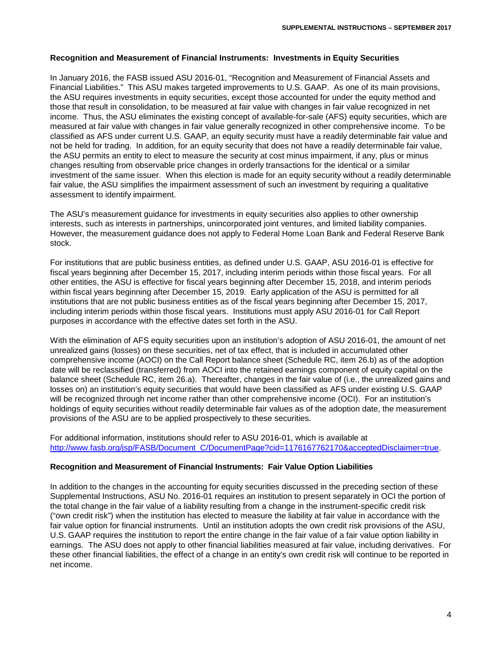#### **Recognition and Measurement of Financial Instruments: Investments in Equity Securities**

In January 2016, the FASB issued ASU 2016-01, "Recognition and Measurement of Financial Assets and Financial Liabilities." This ASU makes targeted improvements to U.S. GAAP. As one of its main provisions, the ASU requires investments in equity securities, except those accounted for under the equity method and those that result in consolidation, to be measured at fair value with changes in fair value recognized in net income. Thus, the ASU eliminates the existing concept of available-for-sale (AFS) equity securities, which are measured at fair value with changes in fair value generally recognized in other comprehensive income. To be classified as AFS under current U.S. GAAP, an equity security must have a readily determinable fair value and not be held for trading. In addition, for an equity security that does not have a readily determinable fair value, the ASU permits an entity to elect to measure the security at cost minus impairment, if any, plus or minus changes resulting from observable price changes in orderly transactions for the identical or a similar investment of the same issuer. When this election is made for an equity security without a readily determinable fair value, the ASU simplifies the impairment assessment of such an investment by requiring a qualitative assessment to identify impairment.

The ASU's measurement guidance for investments in equity securities also applies to other ownership interests, such as interests in partnerships, unincorporated joint ventures, and limited liability companies. However, the measurement guidance does not apply to Federal Home Loan Bank and Federal Reserve Bank stock.

For institutions that are public business entities, as defined under U.S. GAAP, ASU 2016-01 is effective for fiscal years beginning after December 15, 2017, including interim periods within those fiscal years. For all other entities, the ASU is effective for fiscal years beginning after December 15, 2018, and interim periods within fiscal years beginning after December 15, 2019. Early application of the ASU is permitted for all institutions that are not public business entities as of the fiscal years beginning after December 15, 2017, including interim periods within those fiscal years. Institutions must apply ASU 2016-01 for Call Report purposes in accordance with the effective dates set forth in the ASU.

With the elimination of AFS equity securities upon an institution's adoption of ASU 2016-01, the amount of net unrealized gains (losses) on these securities, net of tax effect, that is included in accumulated other comprehensive income (AOCI) on the Call Report balance sheet (Schedule RC, item 26.b) as of the adoption date will be reclassified (transferred) from AOCI into the retained earnings component of equity capital on the balance sheet (Schedule RC, item 26.a). Thereafter, changes in the fair value of (i.e., the unrealized gains and losses on) an institution's equity securities that would have been classified as AFS under existing U.S. GAAP will be recognized through net income rather than other comprehensive income (OCI). For an institution's holdings of equity securities without readily determinable fair values as of the adoption date, the measurement provisions of the ASU are to be applied prospectively to these securities.

For additional information, institutions should refer to ASU 2016-01, which is available at http://www.fasb.org/isp/FASB/Document\_C/DocumentPage?cid=1176167762170&acceptedDisclaimer=true.

#### **Recognition and Measurement of Financial Instruments: Fair Value Option Liabilities**

In addition to the changes in the accounting for equity securities discussed in the preceding section of these Supplemental Instructions, ASU No. 2016-01 requires an institution to present separately in OCI the portion of the total change in the fair value of a liability resulting from a change in the instrument-specific credit risk ("own credit risk") when the institution has elected to measure the liability at fair value in accordance with the fair value option for financial instruments. Until an institution adopts the own credit risk provisions of the ASU, U.S. GAAP requires the institution to report the entire change in the fair value of a fair value option liability in earnings. The ASU does not apply to other financial liabilities measured at fair value, including derivatives. For these other financial liabilities, the effect of a change in an entity's own credit risk will continue to be reported in net income.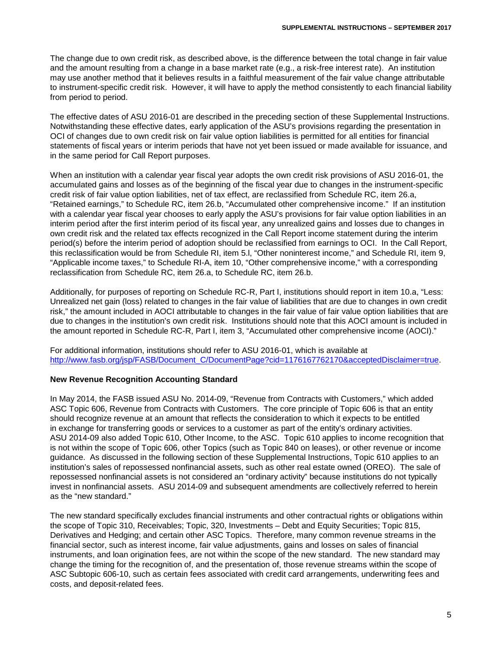The change due to own credit risk, as described above, is the difference between the total change in fair value and the amount resulting from a change in a base market rate (e.g., a risk-free interest rate). An institution may use another method that it believes results in a faithful measurement of the fair value change attributable to instrument-specific credit risk. However, it will have to apply the method consistently to each financial liability from period to period.

The effective dates of ASU 2016-01 are described in the preceding section of these Supplemental Instructions. Notwithstanding these effective dates, early application of the ASU's provisions regarding the presentation in OCI of changes due to own credit risk on fair value option liabilities is permitted for all entities for financial statements of fiscal years or interim periods that have not yet been issued or made available for issuance, and in the same period for Call Report purposes.

When an institution with a calendar year fiscal year adopts the own credit risk provisions of ASU 2016-01, the accumulated gains and losses as of the beginning of the fiscal year due to changes in the instrument-specific credit risk of fair value option liabilities, net of tax effect, are reclassified from Schedule RC, item 26.a, "Retained earnings," to Schedule RC, item 26.b, "Accumulated other comprehensive income." If an institution with a calendar year fiscal year chooses to early apply the ASU's provisions for fair value option liabilities in an interim period after the first interim period of its fiscal year, any unrealized gains and losses due to changes in own credit risk and the related tax effects recognized in the Call Report income statement during the interim period(s) before the interim period of adoption should be reclassified from earnings to OCI. In the Call Report, this reclassification would be from Schedule RI, item 5.l, "Other noninterest income," and Schedule RI, item 9, "Applicable income taxes," to Schedule RI-A, item 10, "Other comprehensive income," with a corresponding reclassification from Schedule RC, item 26.a, to Schedule RC, item 26.b.

Additionally, for purposes of reporting on Schedule RC-R, Part I, institutions should report in item 10.a, "Less: Unrealized net gain (loss) related to changes in the fair value of liabilities that are due to changes in own credit risk," the amount included in AOCI attributable to changes in the fair value of fair value option liabilities that are due to changes in the institution's own credit risk. Institutions should note that this AOCI amount is included in the amount reported in Schedule RC-R, Part I, item 3, "Accumulated other comprehensive income (AOCI)."

For additional information, institutions should refer to ASU 2016-01, which is available at [http://www.fasb.org/jsp/FASB/Document\\_C/DocumentPage?cid=1176167762170&acceptedDisclaimer=true.](http://www.fasb.org/jsp/FASB/Document_C/DocumentPage?cid=1176167762170&acceptedDisclaimer=true)

#### **New Revenue Recognition Accounting Standard**

In May 2014, the FASB issued ASU No. 2014-09, "Revenue from Contracts with Customers," which added ASC Topic 606, Revenue from Contracts with Customers. The core principle of Topic 606 is that an entity should recognize revenue at an amount that reflects the consideration to which it expects to be entitled in exchange for transferring goods or services to a customer as part of the entity's ordinary activities. ASU 2014-09 also added Topic 610, Other Income, to the ASC. Topic 610 applies to income recognition that is not within the scope of Topic 606, other Topics (such as Topic 840 on leases), or other revenue or income guidance. As discussed in the following section of these Supplemental Instructions, Topic 610 applies to an institution's sales of repossessed nonfinancial assets, such as other real estate owned (OREO). The sale of repossessed nonfinancial assets is not considered an "ordinary activity" because institutions do not typically invest in nonfinancial assets. ASU 2014-09 and subsequent amendments are collectively referred to herein as the "new standard."

The new standard specifically excludes financial instruments and other contractual rights or obligations within the scope of Topic 310, Receivables; Topic, 320, Investments – Debt and Equity Securities; Topic 815, Derivatives and Hedging; and certain other ASC Topics. Therefore, many common revenue streams in the financial sector, such as interest income, fair value adjustments, gains and losses on sales of financial instruments, and loan origination fees, are not within the scope of the new standard. The new standard may change the timing for the recognition of, and the presentation of, those revenue streams within the scope of ASC Subtopic 606-10, such as certain fees associated with credit card arrangements, underwriting fees and costs, and deposit-related fees.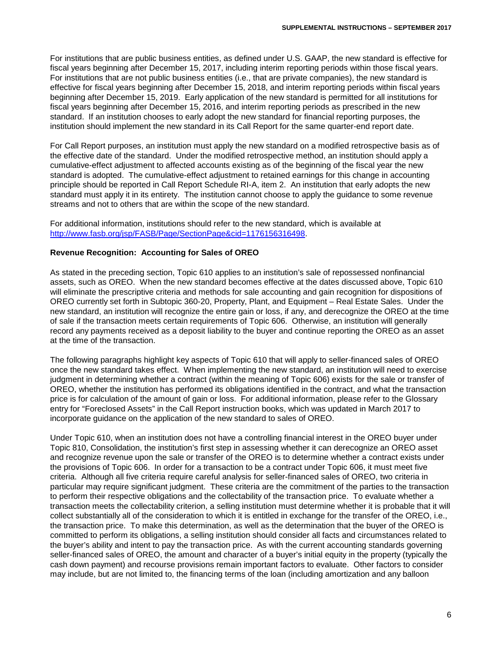For institutions that are public business entities, as defined under U.S. GAAP, the new standard is effective for fiscal years beginning after December 15, 2017, including interim reporting periods within those fiscal years. For institutions that are not public business entities (i.e., that are private companies), the new standard is effective for fiscal years beginning after December 15, 2018, and interim reporting periods within fiscal years beginning after December 15, 2019. Early application of the new standard is permitted for all institutions for fiscal years beginning after December 15, 2016, and interim reporting periods as prescribed in the new standard. If an institution chooses to early adopt the new standard for financial reporting purposes, the institution should implement the new standard in its Call Report for the same quarter-end report date.

For Call Report purposes, an institution must apply the new standard on a modified retrospective basis as of the effective date of the standard. Under the modified retrospective method, an institution should apply a cumulative-effect adjustment to affected accounts existing as of the beginning of the fiscal year the new standard is adopted. The cumulative-effect adjustment to retained earnings for this change in accounting principle should be reported in Call Report Schedule RI-A, item 2. An institution that early adopts the new standard must apply it in its entirety. The institution cannot choose to apply the guidance to some revenue streams and not to others that are within the scope of the new standard.

For additional information, institutions should refer to the new standard, which is available at [http://www.fasb.org/jsp/FASB/Page/SectionPage&cid=1176156316498.](http://www.fasb.org/jsp/FASB/Page/SectionPage&cid=1176156316498)

#### **Revenue Recognition: Accounting for Sales of OREO**

As stated in the preceding section, Topic 610 applies to an institution's sale of repossessed nonfinancial assets, such as OREO. When the new standard becomes effective at the dates discussed above, Topic 610 will eliminate the prescriptive criteria and methods for sale accounting and gain recognition for dispositions of OREO currently set forth in Subtopic 360-20, Property, Plant, and Equipment – Real Estate Sales. Under the new standard, an institution will recognize the entire gain or loss, if any, and derecognize the OREO at the time of sale if the transaction meets certain requirements of Topic 606. Otherwise, an institution will generally record any payments received as a deposit liability to the buyer and continue reporting the OREO as an asset at the time of the transaction.

The following paragraphs highlight key aspects of Topic 610 that will apply to seller-financed sales of OREO once the new standard takes effect. When implementing the new standard, an institution will need to exercise judgment in determining whether a contract (within the meaning of Topic 606) exists for the sale or transfer of OREO, whether the institution has performed its obligations identified in the contract, and what the transaction price is for calculation of the amount of gain or loss. For additional information, please refer to the Glossary entry for "Foreclosed Assets" in the Call Report instruction books, which was updated in March 2017 to incorporate guidance on the application of the new standard to sales of OREO.

Under Topic 610, when an institution does not have a controlling financial interest in the OREO buyer under Topic 810, Consolidation, the institution's first step in assessing whether it can derecognize an OREO asset and recognize revenue upon the sale or transfer of the OREO is to determine whether a contract exists under the provisions of Topic 606. In order for a transaction to be a contract under Topic 606, it must meet five criteria. Although all five criteria require careful analysis for seller-financed sales of OREO, two criteria in particular may require significant judgment. These criteria are the commitment of the parties to the transaction to perform their respective obligations and the collectability of the transaction price. To evaluate whether a transaction meets the collectability criterion, a selling institution must determine whether it is probable that it will collect substantially all of the consideration to which it is entitled in exchange for the transfer of the OREO, i.e., the transaction price. To make this determination, as well as the determination that the buyer of the OREO is committed to perform its obligations, a selling institution should consider all facts and circumstances related to the buyer's ability and intent to pay the transaction price. As with the current accounting standards governing seller-financed sales of OREO, the amount and character of a buyer's initial equity in the property (typically the cash down payment) and recourse provisions remain important factors to evaluate. Other factors to consider may include, but are not limited to, the financing terms of the loan (including amortization and any balloon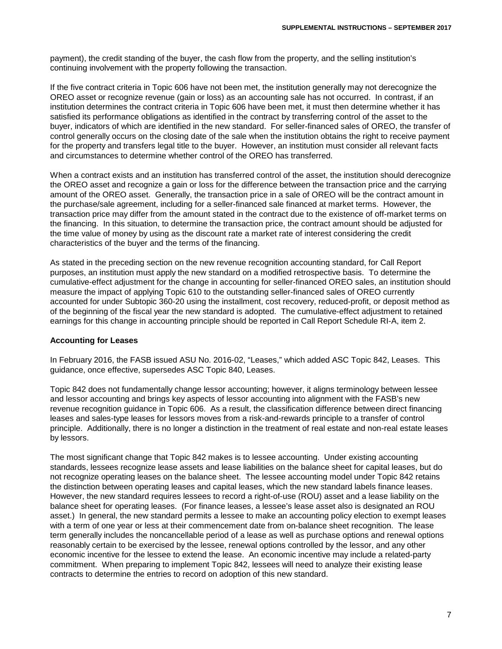payment), the credit standing of the buyer, the cash flow from the property, and the selling institution's continuing involvement with the property following the transaction.

If the five contract criteria in Topic 606 have not been met, the institution generally may not derecognize the OREO asset or recognize revenue (gain or loss) as an accounting sale has not occurred. In contrast, if an institution determines the contract criteria in Topic 606 have been met, it must then determine whether it has satisfied its performance obligations as identified in the contract by transferring control of the asset to the buyer, indicators of which are identified in the new standard. For seller-financed sales of OREO, the transfer of control generally occurs on the closing date of the sale when the institution obtains the right to receive payment for the property and transfers legal title to the buyer. However, an institution must consider all relevant facts and circumstances to determine whether control of the OREO has transferred.

When a contract exists and an institution has transferred control of the asset, the institution should derecognize the OREO asset and recognize a gain or loss for the difference between the transaction price and the carrying amount of the OREO asset. Generally, the transaction price in a sale of OREO will be the contract amount in the purchase/sale agreement, including for a seller-financed sale financed at market terms. However, the transaction price may differ from the amount stated in the contract due to the existence of off-market terms on the financing. In this situation, to determine the transaction price, the contract amount should be adjusted for the time value of money by using as the discount rate a market rate of interest considering the credit characteristics of the buyer and the terms of the financing.

As stated in the preceding section on the new revenue recognition accounting standard, for Call Report purposes, an institution must apply the new standard on a modified retrospective basis. To determine the cumulative-effect adjustment for the change in accounting for seller-financed OREO sales, an institution should measure the impact of applying Topic 610 to the outstanding seller-financed sales of OREO currently accounted for under Subtopic 360-20 using the installment, cost recovery, reduced-profit, or deposit method as of the beginning of the fiscal year the new standard is adopted. The cumulative-effect adjustment to retained earnings for this change in accounting principle should be reported in Call Report Schedule RI-A, item 2.

#### **Accounting for Leases**

In February 2016, the FASB issued ASU No. 2016-02, "Leases," which added ASC Topic 842, Leases. This guidance, once effective, supersedes ASC Topic 840, Leases.

Topic 842 does not fundamentally change lessor accounting; however, it aligns terminology between lessee and lessor accounting and brings key aspects of lessor accounting into alignment with the FASB's new revenue recognition guidance in Topic 606. As a result, the classification difference between direct financing leases and sales-type leases for lessors moves from a risk-and-rewards principle to a transfer of control principle. Additionally, there is no longer a distinction in the treatment of real estate and non-real estate leases by lessors.

The most significant change that Topic 842 makes is to lessee accounting. Under existing accounting standards, lessees recognize lease assets and lease liabilities on the balance sheet for capital leases, but do not recognize operating leases on the balance sheet. The lessee accounting model under Topic 842 retains the distinction between operating leases and capital leases, which the new standard labels finance leases. However, the new standard requires lessees to record a right-of-use (ROU) asset and a lease liability on the balance sheet for operating leases. (For finance leases, a lessee's lease asset also is designated an ROU asset.) In general, the new standard permits a lessee to make an accounting policy election to exempt leases with a term of one year or less at their commencement date from on-balance sheet recognition. The lease term generally includes the noncancellable period of a lease as well as purchase options and renewal options reasonably certain to be exercised by the lessee, renewal options controlled by the lessor, and any other economic incentive for the lessee to extend the lease. An economic incentive may include a related-party commitment. When preparing to implement Topic 842, lessees will need to analyze their existing lease contracts to determine the entries to record on adoption of this new standard.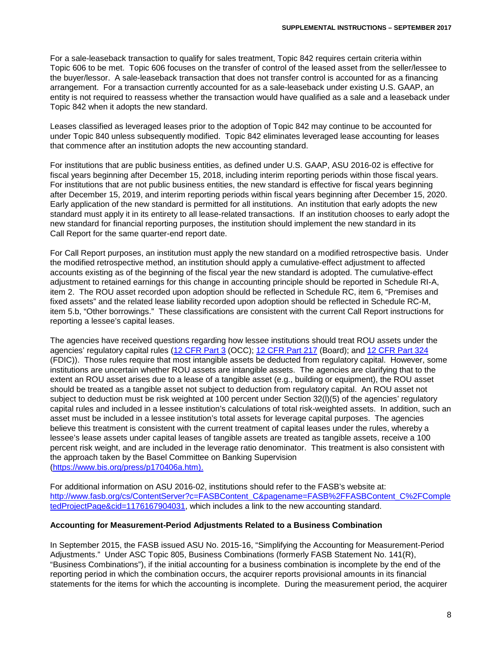For a sale-leaseback transaction to qualify for sales treatment, Topic 842 requires certain criteria within Topic 606 to be met. Topic 606 focuses on the transfer of control of the leased asset from the seller/lessee to the buyer/lessor. A sale-leaseback transaction that does not transfer control is accounted for as a financing arrangement. For a transaction currently accounted for as a sale-leaseback under existing U.S. GAAP, an entity is not required to reassess whether the transaction would have qualified as a sale and a leaseback under Topic 842 when it adopts the new standard.

Leases classified as leveraged leases prior to the adoption of Topic 842 may continue to be accounted for under Topic 840 unless subsequently modified. Topic 842 eliminates leveraged lease accounting for leases that commence after an institution adopts the new accounting standard.

For institutions that are public business entities, as defined under U.S. GAAP, ASU 2016-02 is effective for fiscal years beginning after December 15, 2018, including interim reporting periods within those fiscal years. For institutions that are not public business entities, the new standard is effective for fiscal years beginning after December 15, 2019, and interim reporting periods within fiscal years beginning after December 15, 2020. Early application of the new standard is permitted for all institutions. An institution that early adopts the new standard must apply it in its entirety to all lease-related transactions. If an institution chooses to early adopt the new standard for financial reporting purposes, the institution should implement the new standard in its Call Report for the same quarter-end report date.

For Call Report purposes, an institution must apply the new standard on a modified retrospective basis. Under the modified retrospective method, an institution should apply a cumulative-effect adjustment to affected accounts existing as of the beginning of the fiscal year the new standard is adopted. The cumulative-effect adjustment to retained earnings for this change in accounting principle should be reported in Schedule RI-A, item 2. The ROU asset recorded upon adoption should be reflected in Schedule RC, item 6, "Premises and fixed assets" and the related lease liability recorded upon adoption should be reflected in Schedule RC-M, item 5.b, "Other borrowings." These classifications are consistent with the current Call Report instructions for reporting a lessee's capital leases.

The agencies have received questions regarding how lessee institutions should treat ROU assets under the agencies' regulatory capital rules [\(12 CFR Part 3](https://www.ecfr.gov/cgi-bin/text-idx?SID=6a4386753d17214d1170526af6423e67&mc=true&node=pt12.1.3&rgn=div5) (OCC); [12 CFR Part 217](https://www.ecfr.gov/cgi-bin/text-idx?SID=6a4386753d17214d1170526af6423e67&mc=true&node=pt12.2.217&rgn=div5) (Board); and [12 CFR Part 324](https://www.ecfr.gov/cgi-bin/text-idx?SID=6a4386753d17214d1170526af6423e67&mc=true&node=pt12.5.324&rgn=div5) (FDIC)). Those rules require that most intangible assets be deducted from regulatory capital. However, some institutions are uncertain whether ROU assets are intangible assets. The agencies are clarifying that to the extent an ROU asset arises due to a lease of a tangible asset (e.g., building or equipment), the ROU asset should be treated as a tangible asset not subject to deduction from regulatory capital. An ROU asset not subject to deduction must be risk weighted at 100 percent under Section 32(l)(5) of the agencies' regulatory capital rules and included in a lessee institution's calculations of total risk-weighted assets. In addition, such an asset must be included in a lessee institution's total assets for leverage capital purposes. The agencies believe this treatment is consistent with the current treatment of capital leases under the rules, whereby a lessee's lease assets under capital leases of tangible assets are treated as tangible assets, receive a 100 percent risk weight, and are included in the leverage ratio denominator. This treatment is also consistent with the approach taken by the Basel Committee on Banking Supervision [\(https://www.bis.org/press/p170406a.htm\)](https://www.bis.org/press/p170406a.htm).

For additional information on ASU 2016-02, institutions should refer to the FASB's website at: [http://www.fasb.org/cs/ContentServer?c=FASBContent\\_C&pagename=FASB%2FFASBContent\\_C%2FComple](http://www.fasb.org/cs/ContentServer?c=FASBContent_C&pagename=FASB%2FFASBContent_C%2FCompletedProjectPage&cid=1176167904031) [tedProjectPage&cid=1176167904031,](http://www.fasb.org/cs/ContentServer?c=FASBContent_C&pagename=FASB%2FFASBContent_C%2FCompletedProjectPage&cid=1176167904031) which includes a link to the new accounting standard.

#### **Accounting for Measurement-Period Adjustments Related to a Business Combination**

In September 2015, the FASB issued ASU No. 2015-16, "Simplifying the Accounting for Measurement-Period Adjustments." Under ASC Topic 805, Business Combinations (formerly FASB Statement No. 141(R), "Business Combinations"), if the initial accounting for a business combination is incomplete by the end of the reporting period in which the combination occurs, the acquirer reports provisional amounts in its financial statements for the items for which the accounting is incomplete. During the measurement period, the acquirer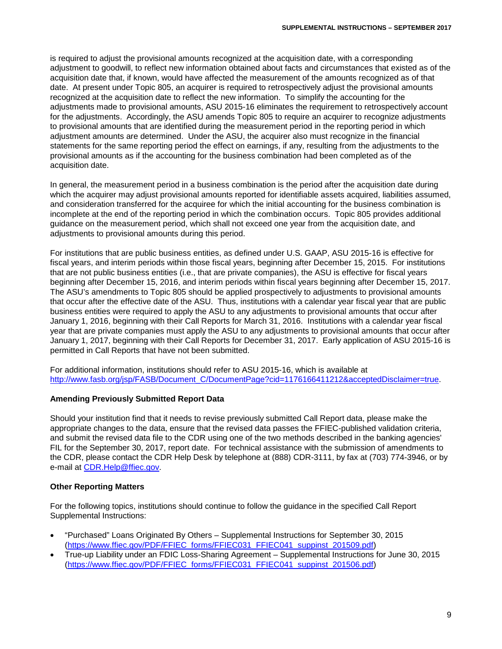is required to adjust the provisional amounts recognized at the acquisition date, with a corresponding adjustment to goodwill, to reflect new information obtained about facts and circumstances that existed as of the acquisition date that, if known, would have affected the measurement of the amounts recognized as of that date. At present under Topic 805, an acquirer is required to retrospectively adjust the provisional amounts recognized at the acquisition date to reflect the new information. To simplify the accounting for the adjustments made to provisional amounts, ASU 2015-16 eliminates the requirement to retrospectively account for the adjustments. Accordingly, the ASU amends Topic 805 to require an acquirer to recognize adjustments to provisional amounts that are identified during the measurement period in the reporting period in which adjustment amounts are determined. Under the ASU, the acquirer also must recognize in the financial statements for the same reporting period the effect on earnings, if any, resulting from the adjustments to the provisional amounts as if the accounting for the business combination had been completed as of the acquisition date.

In general, the measurement period in a business combination is the period after the acquisition date during which the acquirer may adjust provisional amounts reported for identifiable assets acquired, liabilities assumed, and consideration transferred for the acquiree for which the initial accounting for the business combination is incomplete at the end of the reporting period in which the combination occurs. Topic 805 provides additional guidance on the measurement period, which shall not exceed one year from the acquisition date, and adjustments to provisional amounts during this period.

For institutions that are public business entities, as defined under U.S. GAAP, ASU 2015-16 is effective for fiscal years, and interim periods within those fiscal years, beginning after December 15, 2015. For institutions that are not public business entities (i.e., that are private companies), the ASU is effective for fiscal years beginning after December 15, 2016, and interim periods within fiscal years beginning after December 15, 2017. The ASU's amendments to Topic 805 should be applied prospectively to adjustments to provisional amounts that occur after the effective date of the ASU. Thus, institutions with a calendar year fiscal year that are public business entities were required to apply the ASU to any adjustments to provisional amounts that occur after January 1, 2016, beginning with their Call Reports for March 31, 2016. Institutions with a calendar year fiscal year that are private companies must apply the ASU to any adjustments to provisional amounts that occur after January 1, 2017, beginning with their Call Reports for December 31, 2017. Early application of ASU 2015-16 is permitted in Call Reports that have not been submitted.

For additional information, institutions should refer to ASU 2015-16, which is available at [http://www.fasb.org/jsp/FASB/Document\\_C/DocumentPage?cid=1176166411212&acceptedDisclaimer=true.](http://www.fasb.org/jsp/FASB/Document_C/DocumentPage?cid=1176166411212&acceptedDisclaimer=true)

#### **Amending Previously Submitted Report Data**

Should your institution find that it needs to revise previously submitted Call Report data, please make the appropriate changes to the data, ensure that the revised data passes the FFIEC-published validation criteria, and submit the revised data file to the CDR using one of the two methods described in the banking agencies' FIL for the September 30, 2017, report date. For technical assistance with the submission of amendments to the CDR, please contact the CDR Help Desk by telephone at (888) CDR-3111, by fax at (703) 774-3946, or by e-mail at [CDR.Help@ffiec.gov.](mailto:CDR.Help@ffiec.gov)

#### **Other Reporting Matters**

For the following topics, institutions should continue to follow the guidance in the specified Call Report Supplemental Instructions:

- "Purchased" Loans Originated By Others Supplemental Instructions for September 30, 2015 [\(https://www.ffiec.gov/PDF/FFIEC\\_forms/FFIEC031\\_FFIEC041\\_suppinst\\_201509.pdf\)](https://www.ffiec.gov/PDF/FFIEC_forms/FFIEC031_FFIEC041_suppinst_201509.pdf)
- True-up Liability under an FDIC Loss-Sharing Agreement Supplemental Instructions for June 30, 2015 [\(https://www.ffiec.gov/PDF/FFIEC\\_forms/FFIEC031\\_FFIEC041\\_suppinst\\_201506.pdf\)](https://www.ffiec.gov/PDF/FFIEC_forms/FFIEC031_FFIEC041_suppinst_201506.pdf)